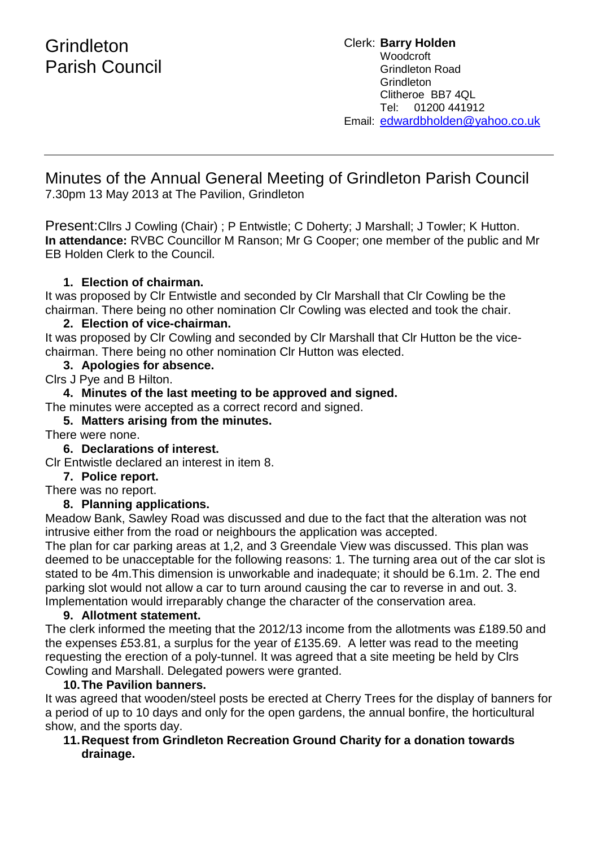Clerk: **Barry Holden** Woodcroft Grindleton Road **Grindleton** Clitheroe BB7 4QL Tel: 01200 441912 Email: [edwardbholden@yahoo.co.uk](mailto:edwardbholden@yahoo.co.uk)

# Minutes of the Annual General Meeting of Grindleton Parish Council

7.30pm 13 May 2013 at The Pavilion, Grindleton

Present:Cllrs J Cowling (Chair) ; P Entwistle; C Doherty; J Marshall; J Towler; K Hutton. **In attendance:** RVBC Councillor M Ranson; Mr G Cooper; one member of the public and Mr EB Holden Clerk to the Council.

# **1. Election of chairman.**

It was proposed by Clr Entwistle and seconded by Clr Marshall that Clr Cowling be the chairman. There being no other nomination Clr Cowling was elected and took the chair.

# **2. Election of vice-chairman.**

It was proposed by Clr Cowling and seconded by Clr Marshall that Clr Hutton be the vicechairman. There being no other nomination Clr Hutton was elected.

## **3. Apologies for absence.**

Clrs J Pye and B Hilton.

# **4. Minutes of the last meeting to be approved and signed.**

The minutes were accepted as a correct record and signed.

## **5. Matters arising from the minutes.**

There were none.

**6. Declarations of interest.**

Clr Entwistle declared an interest in item 8.

## **7. Police report.**

There was no report.

## **8. Planning applications.**

Meadow Bank, Sawley Road was discussed and due to the fact that the alteration was not intrusive either from the road or neighbours the application was accepted.

The plan for car parking areas at 1,2, and 3 Greendale View was discussed. This plan was deemed to be unacceptable for the following reasons: 1. The turning area out of the car slot is stated to be 4m.This dimension is unworkable and inadequate; it should be 6.1m. 2. The end parking slot would not allow a car to turn around causing the car to reverse in and out. 3. Implementation would irreparably change the character of the conservation area.

## **9. Allotment statement.**

The clerk informed the meeting that the 2012/13 income from the allotments was £189.50 and the expenses £53.81, a surplus for the year of £135.69. A letter was read to the meeting requesting the erection of a poly-tunnel. It was agreed that a site meeting be held by Clrs Cowling and Marshall. Delegated powers were granted.

## **10.The Pavilion banners.**

It was agreed that wooden/steel posts be erected at Cherry Trees for the display of banners for a period of up to 10 days and only for the open gardens, the annual bonfire, the horticultural show, and the sports day.

#### **11.Request from Grindleton Recreation Ground Charity for a donation towards drainage.**